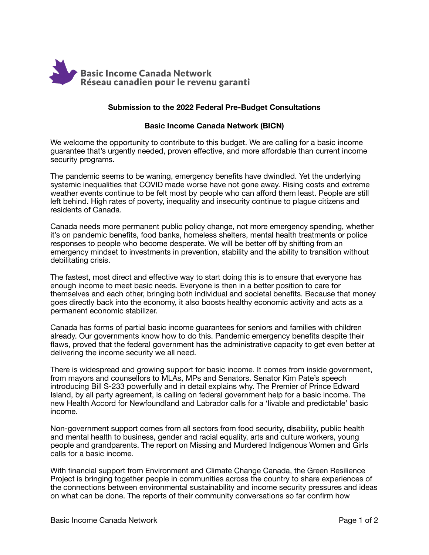

### **Submission to the 2022 Federal Pre-Budget Consultations**

### **Basic Income Canada Network (BICN)**

We welcome the opportunity to contribute to this budget. We are calling for a basic income guarantee that's urgently needed, proven effective, and more affordable than current income security programs.

The pandemic seems to be waning, emergency benefits have dwindled. Yet the underlying systemic inequalities that COVID made worse have not gone away. Rising costs and extreme weather events continue to be felt most by people who can afford them least. People are still left behind. High rates of poverty, inequality and insecurity continue to plague citizens and residents of Canada.

Canada needs more permanent public policy change, not more emergency spending, whether it's on pandemic benefits, food banks, homeless shelters, mental health treatments or police responses to people who become desperate. We will be better off by shifting from an emergency mindset to investments in prevention, stability and the ability to transition without debilitating crisis.

The fastest, most direct and effective way to start doing this is to ensure that everyone has enough income to meet basic needs. Everyone is then in a better position to care for themselves and each other, bringing both individual and societal benefits. Because that money goes directly back into the economy, it also boosts healthy economic activity and acts as a permanent economic stabilizer.

Canada has forms of partial basic income guarantees for seniors and families with children already. Our governments know how to do this. Pandemic emergency benefits despite their flaws, proved that the federal government has the administrative capacity to get even better at delivering the income security we all need.

There is widespread and growing support for basic income. It comes from inside government, from mayors and counsellors to MLAs, MPs and Senators. Senator Kim Pate's speech introducing Bill S-233 powerfully and in detail explains why. The Premier of Prince Edward Island, by all party agreement, is calling on federal government help for a basic income. The new Health Accord for Newfoundland and Labrador calls for a 'livable and predictable' basic income.

Non-government support comes from all sectors from food security, disability, public health and mental health to business, gender and racial equality, arts and culture workers, young people and grandparents. The report on Missing and Murdered Indigenous Women and Girls calls for a basic income.

With financial support from Environment and Climate Change Canada, the Green Resilience Project is bringing together people in communities across the country to share experiences of the connections between environmental sustainability and income security pressures and ideas on what can be done. The reports of their community conversations so far confirm how